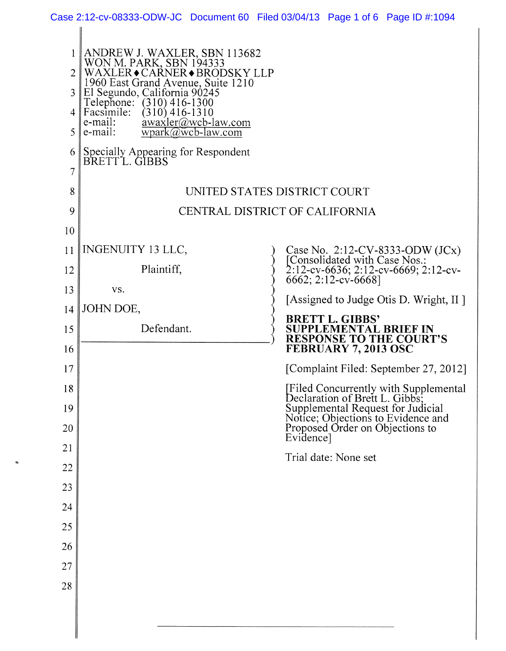| 1<br>2<br>3<br>$\overline{4}$<br>5 | ANDREW J. WAXLER, SBN 113682<br>WON M. PARK, SBN 194333<br>WAXLER◆CARNER◆BRODSKY LLP<br>1960 East Grand Avenue, Suite 1210<br>El Segundo, California 90245<br>Telephone: (310) 416-1300<br>Facsimile:<br>$(310)$ 416-1310<br>e-mail:<br>$\frac{\text{awaxler}(a)}{a}$ wcb-law.com<br>$wpark@wcb-law.com$<br>e-mail: |                                                                                                                                              |
|------------------------------------|---------------------------------------------------------------------------------------------------------------------------------------------------------------------------------------------------------------------------------------------------------------------------------------------------------------------|----------------------------------------------------------------------------------------------------------------------------------------------|
| 6                                  |                                                                                                                                                                                                                                                                                                                     |                                                                                                                                              |
| 7                                  | Specially Appearing for Respondent<br>BRETT L. GIBBS                                                                                                                                                                                                                                                                |                                                                                                                                              |
| 8                                  |                                                                                                                                                                                                                                                                                                                     | UNITED STATES DISTRICT COURT                                                                                                                 |
| 9                                  |                                                                                                                                                                                                                                                                                                                     | CENTRAL DISTRICT OF CALIFORNIA                                                                                                               |
| 10                                 |                                                                                                                                                                                                                                                                                                                     |                                                                                                                                              |
| 11                                 | <b>INGENUITY 13 LLC,</b>                                                                                                                                                                                                                                                                                            | Case No. 2:12-CV-8333-ODW (JCx)<br>[Consolidated with Case Nos.:                                                                             |
| 12                                 | Plaintiff,                                                                                                                                                                                                                                                                                                          | 2:12-cv-6636; 2:12-cv-6669; 2:12-cv-<br>6662; 2:12-cv-6668]                                                                                  |
| 13                                 | VS.                                                                                                                                                                                                                                                                                                                 | [Assigned to Judge Otis D. Wright, II ]                                                                                                      |
| 14                                 | JOHN DOE,                                                                                                                                                                                                                                                                                                           | <b>BRETT L. GIBBS'</b>                                                                                                                       |
| 15<br>16                           | Defendant.                                                                                                                                                                                                                                                                                                          | SUPPLEMENTAL BRIEF IN<br><b>RESPONSE TO THE COURT'S</b><br>FEBRUARY 7, 2013 OSC                                                              |
| 17                                 |                                                                                                                                                                                                                                                                                                                     | [Complaint Filed: September 27, 2012]                                                                                                        |
| 18                                 |                                                                                                                                                                                                                                                                                                                     | [Filed Concurrently with Supplemental                                                                                                        |
| 19<br>20                           |                                                                                                                                                                                                                                                                                                                     | Declaration of Brett L. Gibbs,<br>Supplemental Request for Judicial<br>Notice; Objections to Evidence and<br>Proposed Order on Objections to |
| 21                                 |                                                                                                                                                                                                                                                                                                                     | Evidence]                                                                                                                                    |
| 22                                 |                                                                                                                                                                                                                                                                                                                     | Trial date: None set                                                                                                                         |
| 23                                 |                                                                                                                                                                                                                                                                                                                     |                                                                                                                                              |
| 24                                 |                                                                                                                                                                                                                                                                                                                     |                                                                                                                                              |
| 25                                 |                                                                                                                                                                                                                                                                                                                     |                                                                                                                                              |
| 26                                 |                                                                                                                                                                                                                                                                                                                     |                                                                                                                                              |
| 27                                 |                                                                                                                                                                                                                                                                                                                     |                                                                                                                                              |
| 28                                 |                                                                                                                                                                                                                                                                                                                     |                                                                                                                                              |
|                                    |                                                                                                                                                                                                                                                                                                                     |                                                                                                                                              |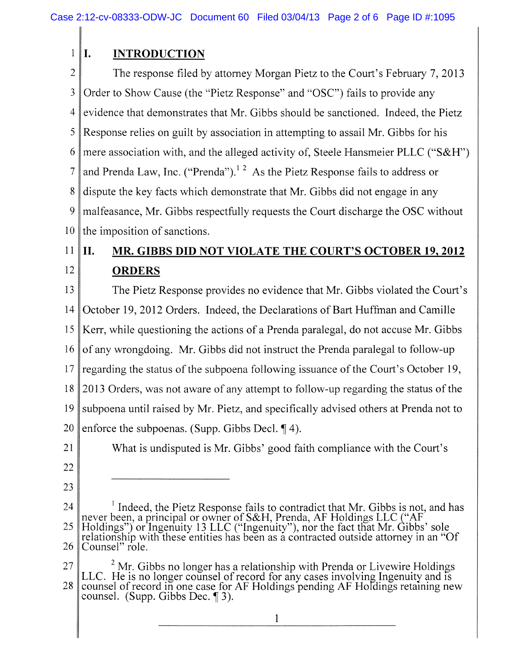## 1 **I. INTRODUCTION**

2 3 4 5 6 7 8 9 10 The response filed by attorney Morgan Pietz to the Court's February 7, 2013 Order to Show Cause (the "Pietz Response" and "OSC") fails to provide any evidence that demonstrates that Mr. Gibbs should be sanctioned. Indeed, the Pietz Response relies on guilt by association in attempting to assail Mr. Gibbs for his mere association with, and the alleged activity of, Steele Hansmeier PLLC ("S&H") and Prenda Law, Inc. ("Prenda").<sup>12</sup> As the Pietz Response fails to address or dispute the key facts which demonstrate that Mr. Gibbs did not engage in any malfeasance, Mr. Gibbs respectfully requests the Court discharge the OSC without the imposition of sanctions.

## 11 12 **II. MR. GIBBS DID NOT VIOLATE THE COURT'S OCTOBER 19, 2012 ORDERS**

13 14 15 16 17 18 19 20 The Pietz Response provides no evidence that Mr. Gibbs violated the Court's October 19, 2012 Orders. Indeed, the Declarations of Bart Huffman and Camille Kerr, while questioning the actions of a Prenda paralegal, do not accuse Mr. Gibbs of any wrongdoing. Mr. Gibbs did not instruct the Prenda paralegal to follow-up regarding the status of the subpoena following issuance of the Court's October 19, 2013 Orders, was not aware of any attempt to follow-up regarding the status of the subpoena until raised by Mr. Pietz, and specifically advised others at Prenda not to enforce the subpoenas. (Supp. Gibbs Decl. **14**).

What is undisputed is Mr. Gibbs' good faith compliance with the Court's

- 21
- 22
- 23
- 24 25 26 Indeed, the Pietz Response fails to contradict that Mr. Gibbs is not, and has never been, a principal or owner of S&H, Prenda, AF Holdings LLC ("AF Holdings") or Ingenuity 13 LLC ("Ingenuity"), nor the fact that Mr. Gibbs' sole relationship with these entities has been as a contracted outside attorney in an "Of" Counsel" role.

27 28  $2$  Mr. Gibbs no longer has a relationship with Prenda or Livewire Holdings LLC. He is no longer counsel of record for any cases involving Ingenuity and is counsel of record in one case for AF Holdings pending AF Holdings retaining new counsel. (Supp. Gibbs Dec. **f** 3).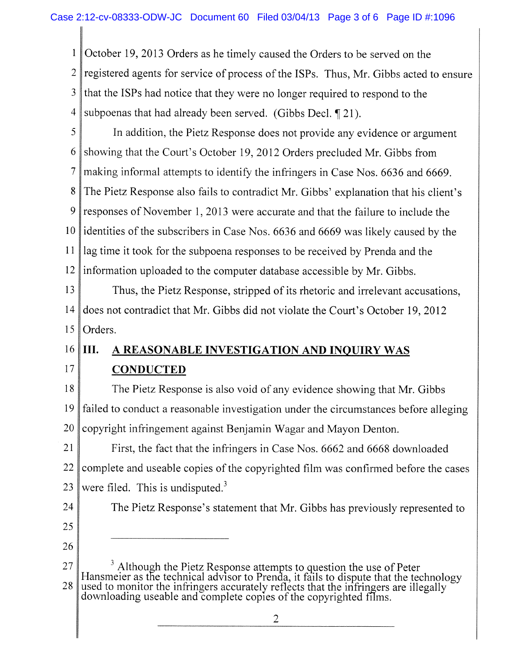1 2 3 4 October 19, 2013 Orders as he timely caused the Orders to be served on the registered agents for service of process of the ISPs. Thus, Mr. Gibbs acted to ensure that the ISPs had notice that they were no longer required to respond to the subpoenas that had already been served. (Gibbs Decl. 121).

5 6 7 8 9 10 11 12 In addition, the Pietz Response does not provide any evidence or argument showing that the Court's October 19, 2012 Orders precluded Mr. Gibbs from making informal attempts to identify the infringers in Case Nos. 6636 and 6669. The Pietz Response also fails to contradict Mr. Gibbs' explanation that his client's responses of November 1, 2013 were accurate and that the failure to include the identities of the subscribers in Case Nos. 6636 and 6669 was likely caused by the lag time it took for the subpoena responses to be received by Prenda and the information uploaded to the computer database accessible by Mr. Gibbs.

13 14 15 Thus, the Pietz Response, stripped of its rhetoric and irrelevant accusations, does not contradict that Mr. Gibbs did not violate the Court's October 19, 2012 Orders.

## 16 17 **III. A REASONABLE INVESTIGATION AND INQUIRY WAS CONDUCTED**

18 19 20 The Pietz Response is also void of any evidence showing that Mr. Gibbs failed to conduct a reasonable investigation under the circumstances before alleging copyright infringement against Benjamin Wagar and Mayon Denton.

21 22 23 First, the fact that the infringers in Case Nos. 6662 and 6668 downloaded complete and useable copies of the copyrighted film was confirmed before the cases were filed. This is undisputed. $3$ 

The Pietz Response's statement that Mr. Gibbs has previously represented to

- 24
- 25
- 26

27 28  $3$  Although the Pietz Response attempts to question the use of Peter naigr as the technical education to Prande, it foils to dignute that the technical Hansmeier as the technical advisor to Prenda, it fails to dispute that the technology<br>used to monitor the infringers convertely reflects that the infringers are illegally. used to monitor the infringers accurately reflects that the infringers are illegally downloading uses the complete conjugation of the convicted films. downloading useable and complete copies of the copyrighted films.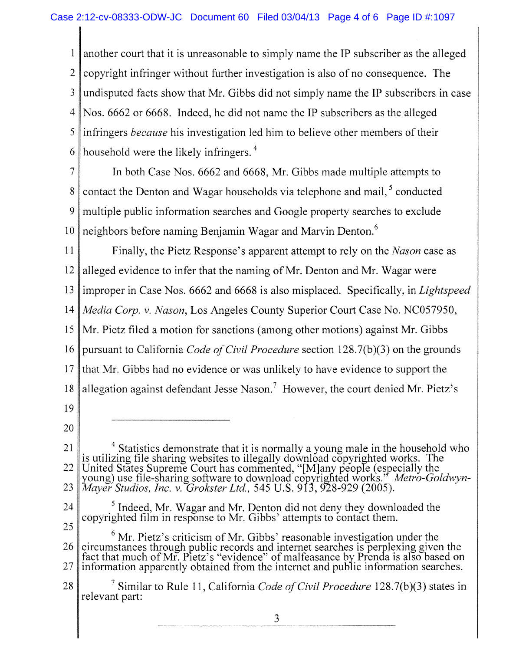1 2 3 4 5 6 another court that it is unreasonable to simply name the IP subscriber as the alleged copyright infringer without further investigation is also of no consequence. The undisputed facts show that Mr. Gibbs did not simply name the IP subscribers in case Nos. 6662 or 6668. Indeed, he did not name the IP subscribers as the alleged infringers *because* his investigation led him to believe other members of their household were the likely infringers.<sup>4</sup>

7 8 9 10 In both Case Nos. 6662 and 6668, Mr. Gibbs made multiple attempts to contact the Denton and Wagar households via telephone and mail,  $\delta$  conducted multiple public information searches and Google property searches to exclude neighbors before naming Benjamin Wagar and Marvin Denton.<sup>6</sup>

11 12 13 14 15 16 17 18 19 20 Finally, the Pietz Response's apparent attempt to rely on the *Nason* case as alleged evidence to infer that the naming of Mr. Denton and Mr. Wagar were improper in Case Nos. 6662 and 6668 is also misplaced. Specifically, in *Lightspeed Media Corp. v. Nason,* Los Angeles County Superior Court Case No. NC057950, Mr. Pietz filed a motion for sanctions (among other motions) against Mr. Gibbs pursuant to California *Code of Civil Procedure* section 128.7(b)(3) on the grounds that Mr. Gibbs had no evidence or was unlikely to have evidence to support the allegation against defendant Jesse Nason.<sup>7</sup> However, the court denied Mr. Pietz's

- 21 22 23 Statistics demonstrate that it is normally a young male in the household who is utilizing file sharing websites to illegally download copyrighted works. The United States Supreme Court has commented, "[Mjany people (especially the young) use file-snaring software to download copyrighted works.' *Metro-Goldwyn-Mayer Studios, Inc. v. Grokster Ltd.,* 545 U.S. 913, 928-929 (2005).
- 24 25 <sup>3</sup> Indeed, Mr. Wagar and Mr. Denton did not deny they downloaded the copyrighted film in response to Mr. Gibbs' attempts to contact them.
- 26 27 <sup>6</sup> Mr. Pietz's criticism of Mr. Gibbs' reasonable investigation under the circumstances through public records and internet searches is perplexing given the fact that much of Mr. Pietz's "evidence" of malfeasance by Prenda is also based on information apparently obtained from the internet and public information searches.

<sup>28</sup>  Similar to Rule 11, California *Code of Civil Procedure* 128.7(b)(3) states in relevant part: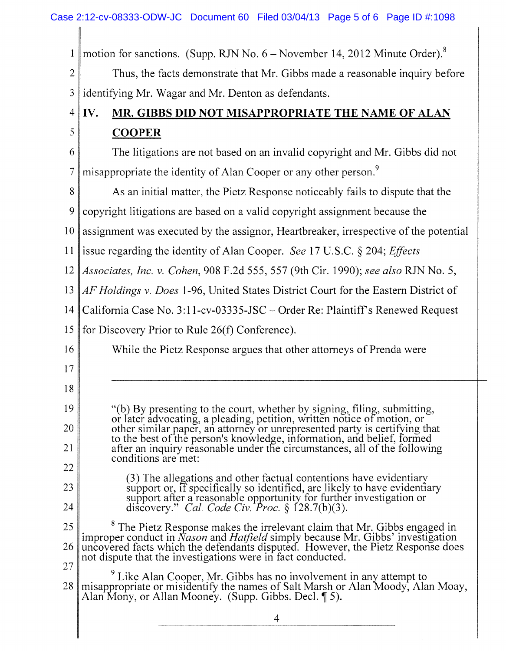Case 2:12-cv-08333-ODW-JC Document 60 Filed 03/04/13 Page 5 of 6 Page ID #:1098

| $\mathbf{1}$   | motion for sanctions. (Supp. RJN No. $6 -$ November 14, 2012 Minute Order). <sup>8</sup>                                                                                                                                        |  |
|----------------|---------------------------------------------------------------------------------------------------------------------------------------------------------------------------------------------------------------------------------|--|
| $\overline{2}$ | Thus, the facts demonstrate that Mr. Gibbs made a reasonable inquiry before                                                                                                                                                     |  |
| 3              | identifying Mr. Wagar and Mr. Denton as defendants.                                                                                                                                                                             |  |
| $\overline{4}$ | IV.<br>MR. GIBBS DID NOT MISAPPROPRIATE THE NAME OF ALAN                                                                                                                                                                        |  |
| 5              | <b>COOPER</b>                                                                                                                                                                                                                   |  |
| 6              | The litigations are not based on an invalid copyright and Mr. Gibbs did not                                                                                                                                                     |  |
| $\overline{7}$ | misappropriate the identity of Alan Cooper or any other person. <sup>9</sup>                                                                                                                                                    |  |
| 8              | As an initial matter, the Pietz Response noticeably fails to dispute that the                                                                                                                                                   |  |
| 9              | copyright litigations are based on a valid copyright assignment because the                                                                                                                                                     |  |
| 10             | assignment was executed by the assignor, Heartbreaker, irrespective of the potential                                                                                                                                            |  |
| 11             | issue regarding the identity of Alan Cooper. See 17 U.S.C. § 204; Effects                                                                                                                                                       |  |
| 12             | Associates, Inc. v. Cohen, 908 F.2d 555, 557 (9th Cir. 1990); see also RJN No. 5,                                                                                                                                               |  |
| 13             | AF Holdings v. Does 1-96, United States District Court for the Eastern District of                                                                                                                                              |  |
| 14             | California Case No. 3:11-cv-03335-JSC – Order Re: Plaintiff's Renewed Request                                                                                                                                                   |  |
| 15             | for Discovery Prior to Rule 26(f) Conference).                                                                                                                                                                                  |  |
| 16             | While the Pietz Response argues that other attorneys of Prenda were                                                                                                                                                             |  |
| 17             |                                                                                                                                                                                                                                 |  |
| 18             |                                                                                                                                                                                                                                 |  |
| 19             | "(b) By presenting to the court, whether by signing, filing, submitting,<br>or later advocating, a pleading, petition, written notice of motion, or                                                                             |  |
| 20             | other similar paper, an attorney or unrepresented party is certifying that<br>to the best of the person's knowledge, information, and belief, formed                                                                            |  |
| 21             | after an inquiry reasonable under the circumstances, all of the following<br>conditions are met:                                                                                                                                |  |
| 22             | (3) The allegations and other factual contentions have evidentiary                                                                                                                                                              |  |
| 23             | support or, if specifically so identified, are likely to have evidentiary<br>support after a reasonable opportunity for further investigation or                                                                                |  |
| 24             | discovery." Cal. Code Civ. Proc. $\S$ 128.7(b)(3).                                                                                                                                                                              |  |
| 25             | <sup>8</sup> The Pietz Response makes the irrelevant claim that Mr. Gibbs engaged in                                                                                                                                            |  |
| 26             | improper conduct in $Nason$ and Hatfield simply because Mr. Gibbs' investigation uncovered facts which the defendants disputed. However, the Pietz Response does<br>not dispute that the investigations were in fact conducted. |  |
| 27             | <sup>9</sup> Like Alan Cooper, Mr. Gibbs has no involvement in any attempt to                                                                                                                                                   |  |
| 28             | misappropriate or misidentify the names of Salt Marsh or Alan Moody, Alan Moay,<br>Alan Mony, or Allan Mooney. (Supp. Gibbs. Decl. 15).                                                                                         |  |
|                | 4                                                                                                                                                                                                                               |  |
|                |                                                                                                                                                                                                                                 |  |